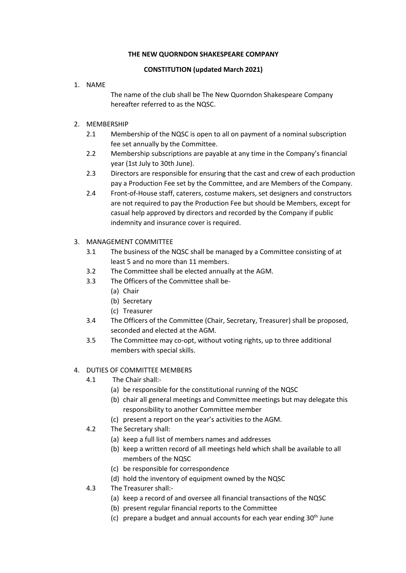### **THE NEW QUORNDON SHAKESPEARE COMPANY**

## **CONSTITUTION (updated March 2021)**

### 1. NAME

The name of the club shall be The New Quorndon Shakespeare Company hereafter referred to as the NQSC.

## 2. MEMBERSHIP

- 2.1 Membership of the NQSC is open to all on payment of a nominal subscription fee set annually by the Committee.
- 2.2 Membership subscriptions are payable at any time in the Company's financial year (1st July to 30th June).
- 2.3 Directors are responsible for ensuring that the cast and crew of each production pay a Production Fee set by the Committee, and are Members of the Company.
- 2.4 Front-of-House staff, caterers, costume makers, set designers and constructors are not required to pay the Production Fee but should be Members, except for casual help approved by directors and recorded by the Company if public indemnity and insurance cover is required.

# 3. MANAGEMENT COMMITTEE

- 3.1 The business of the NQSC shall be managed by a Committee consisting of at least 5 and no more than 11 members.
- 3.2 The Committee shall be elected annually at the AGM.
- 3.3 The Officers of the Committee shall be-
	- (a) Chair
	- (b) Secretary
	- (c) Treasurer
- 3.4 The Officers of the Committee (Chair, Secretary, Treasurer) shall be proposed, seconded and elected at the AGM.
- 3.5 The Committee may co-opt, without voting rights, up to three additional members with special skills.

## 4. DUTIES OF COMMITTEE MEMBERS

- 4.1 The Chair shall:-
	- (a) be responsible for the constitutional running of the NQSC
	- (b) chair all general meetings and Committee meetings but may delegate this responsibility to another Committee member
	- (c) present a report on the year's activities to the AGM.
- 4.2 The Secretary shall:
	- (a) keep a full list of members names and addresses
	- (b) keep a written record of all meetings held which shall be available to all members of the NQSC
	- (c) be responsible for correspondence
	- (d) hold the inventory of equipment owned by the NQSC
- 4.3 The Treasurer shall:-
	- (a) keep a record of and oversee all financial transactions of the NQSC
	- (b) present regular financial reports to the Committee
	- (c) prepare a budget and annual accounts for each year ending  $30<sup>th</sup>$  June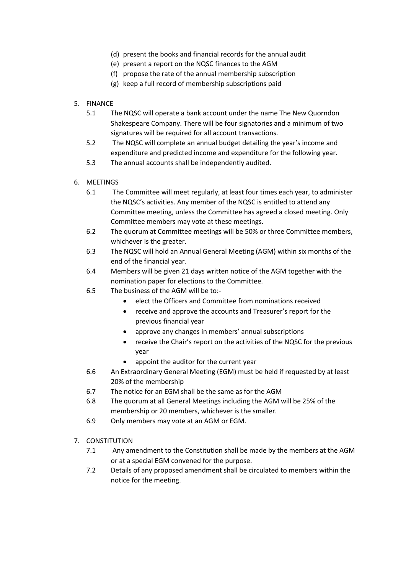- (d) present the books and financial records for the annual audit
- (e) present a report on the NQSC finances to the AGM
- (f) propose the rate of the annual membership subscription
- (g) keep a full record of membership subscriptions paid
- 5. FINANCE
	- 5.1 The NQSC will operate a bank account under the name The New Quorndon Shakespeare Company. There will be four signatories and a minimum of two signatures will be required for all account transactions.
	- 5.2 The NQSC will complete an annual budget detailing the year's income and expenditure and predicted income and expenditure for the following year.
	- 5.3 The annual accounts shall be independently audited.
- 6. MEETINGS
	- 6.1 The Committee will meet regularly, at least four times each year, to administer the NQSC's activities. Any member of the NQSC is entitled to attend any Committee meeting, unless the Committee has agreed a closed meeting. Only Committee members may vote at these meetings.
	- 6.2 The quorum at Committee meetings will be 50% or three Committee members, whichever is the greater.
	- 6.3 The NQSC will hold an Annual General Meeting (AGM) within six months of the end of the financial year.
	- 6.4 Members will be given 21 days written notice of the AGM together with the nomination paper for elections to the Committee.
	- 6.5 The business of the AGM will be to:-
		- elect the Officers and Committee from nominations received
		- receive and approve the accounts and Treasurer's report for the previous financial year
		- approve any changes in members' annual subscriptions
		- receive the Chair's report on the activities of the NQSC for the previous year
		- appoint the auditor for the current year
	- 6.6 An Extraordinary General Meeting (EGM) must be held if requested by at least 20% of the membership
	- 6.7 The notice for an EGM shall be the same as for the AGM
	- 6.8 The quorum at all General Meetings including the AGM will be 25% of the membership or 20 members, whichever is the smaller.
	- 6.9 Only members may vote at an AGM or EGM.
- 7. CONSTITUTION
	- 7.1 Any amendment to the Constitution shall be made by the members at the AGM or at a special EGM convened for the purpose.
	- 7.2 Details of any proposed amendment shall be circulated to members within the notice for the meeting.